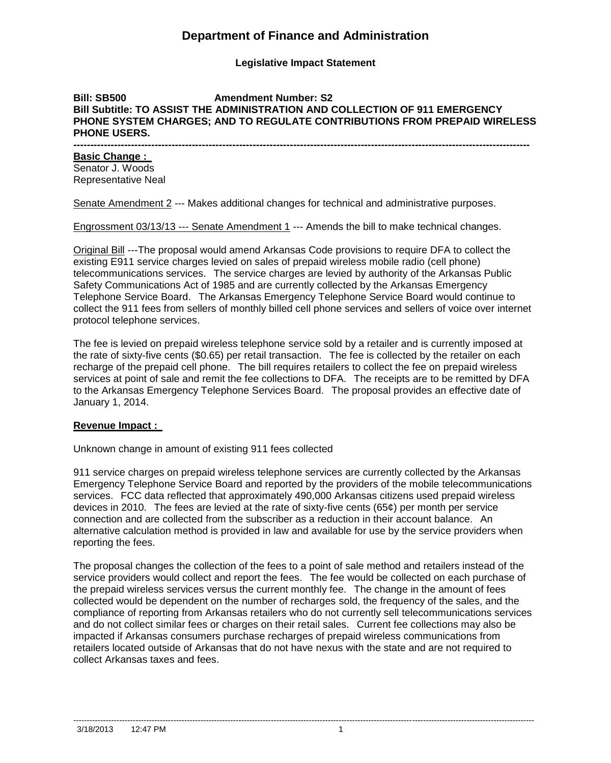# **Department of Finance and Administration**

**Legislative Impact Statement**

### **Bill: SB500 Amendment Number: S2 Bill Subtitle: TO ASSIST THE ADMINISTRATION AND COLLECTION OF 911 EMERGENCY PHONE SYSTEM CHARGES; AND TO REGULATE CONTRIBUTIONS FROM PREPAID WIRELESS PHONE USERS.**

**---------------------------------------------------------------------------------------------------------------------------------------**

## **Basic Change :**

Senator J. Woods Representative Neal

Senate Amendment 2 --- Makes additional changes for technical and administrative purposes.

Engrossment 03/13/13 --- Senate Amendment 1 --- Amends the bill to make technical changes.

Original Bill ---The proposal would amend Arkansas Code provisions to require DFA to collect the existing E911 service charges levied on sales of prepaid wireless mobile radio (cell phone) telecommunications services. The service charges are levied by authority of the Arkansas Public Safety Communications Act of 1985 and are currently collected by the Arkansas Emergency Telephone Service Board. The Arkansas Emergency Telephone Service Board would continue to collect the 911 fees from sellers of monthly billed cell phone services and sellers of voice over internet protocol telephone services.

The fee is levied on prepaid wireless telephone service sold by a retailer and is currently imposed at the rate of sixty-five cents (\$0.65) per retail transaction. The fee is collected by the retailer on each recharge of the prepaid cell phone. The bill requires retailers to collect the fee on prepaid wireless services at point of sale and remit the fee collections to DFA. The receipts are to be remitted by DFA to the Arkansas Emergency Telephone Services Board. The proposal provides an effective date of January 1, 2014.

## **Revenue Impact :**

Unknown change in amount of existing 911 fees collected

911 service charges on prepaid wireless telephone services are currently collected by the Arkansas Emergency Telephone Service Board and reported by the providers of the mobile telecommunications services. FCC data reflected that approximately 490,000 Arkansas citizens used prepaid wireless devices in 2010. The fees are levied at the rate of sixty-five cents (65¢) per month per service connection and are collected from the subscriber as a reduction in their account balance. An alternative calculation method is provided in law and available for use by the service providers when reporting the fees.

The proposal changes the collection of the fees to a point of sale method and retailers instead of the service providers would collect and report the fees. The fee would be collected on each purchase of the prepaid wireless services versus the current monthly fee. The change in the amount of fees collected would be dependent on the number of recharges sold, the frequency of the sales, and the compliance of reporting from Arkansas retailers who do not currently sell telecommunications services and do not collect similar fees or charges on their retail sales. Current fee collections may also be impacted if Arkansas consumers purchase recharges of prepaid wireless communications from retailers located outside of Arkansas that do not have nexus with the state and are not required to collect Arkansas taxes and fees.